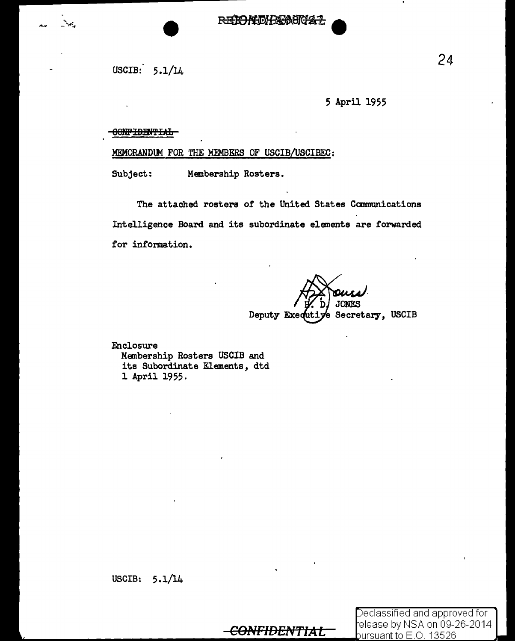REIONIDHEASICAL

USCIB: 5.1/14

5 April 1955

#### OONFIDENTIAL

.MEMORANDUM FOR THE MEMBERS OF USCIB/USCIBEC:

Subject: Membership Rosters.

The attached rosters of the United States Communications Intelligence Board and its subordinate elements are forwarded for information.

> **JONES** Deputy Exequitye Secretary, USCIB

Enclosure Membership Rosters USCIB and its Subordinate Elements, dtd 1 April 1955.

**CONFIDENTIAL** 

Declassified and approved for elease by NSA on 09-26-2014 pursuant to  $E$  .O. 13526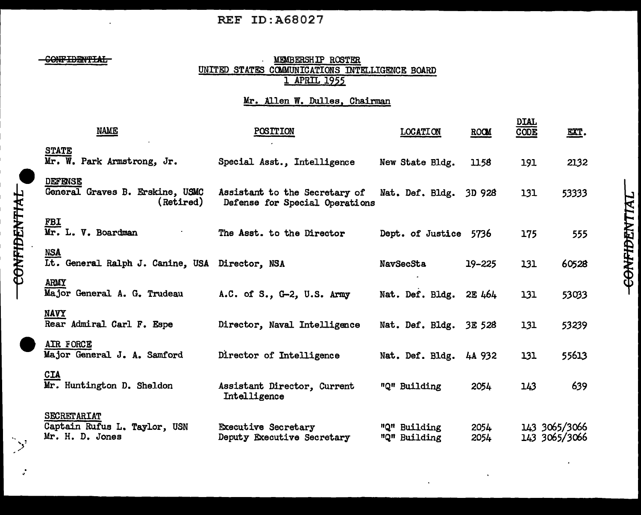## REF ID:A68027

**CONFIDENTIAL** 

.. :  $\sum_{i=1}^{n}$ 

CONFIDENTIAL

. ..

#### **MEMBERSHIP ROSTER** UNITED STATES COMMUNICATIONS INTELLIGENCE BOARD 1 APRIL 1955

### Mr. Allen W. Dulles, Chairman

| NAME                                                                  | <b>POSITION</b>                                                 | <b>LOCATION</b>              | ROOM         | <u>DIAL</u><br>CODE | EXT.                           |
|-----------------------------------------------------------------------|-----------------------------------------------------------------|------------------------------|--------------|---------------------|--------------------------------|
| <b>STATE</b><br>Mr. W. Park Armstrong, Jr.                            | Special Asst., Intelligence                                     | New State Bldg.              | 1158         | 191                 | 2132                           |
| <b>DEFENSE</b><br>General Graves B. Erskine, USMC<br>(Retired)        | Assistant to the Secretary of<br>Defense for Special Operations | Nat. Def. Bldg. 3D 928       |              | 131                 | 53333                          |
| FBI<br>Mr. L. V. Boardman                                             | The Asst. to the Director                                       | Dept. of Justice 5736        |              | 175                 | 555                            |
| <b>NSA</b><br>Lt. General Ralph J. Canine, USA Director, NSA          |                                                                 | NavSecSta                    | $19 - 225$   | 131                 | 60528                          |
| <b>ARMY</b><br>Major General A. G. Trudeau                            | A.C. of S., G-2, U.S. Army                                      | Nat. Def. Bldg.              | 2E 464       | 131                 | 53033                          |
| <b>NAVY</b><br>Rear Admiral Carl F. Espe                              | Director, Naval Intelligence                                    | Nat. Def. Bldg. 3E 528       |              | 131                 | 53239                          |
| AIR FORCE<br>Major General J. A. Samford                              | Director of Intelligence                                        | Nat. Def. Bldg. 4A 932       |              | 131                 | 55613                          |
| <u>CIA</u><br>Mr. Huntington D. Sheldon                               | Assistant Director, Current<br>Intelligence                     | "Q" Building                 | 2054         | 143                 | 639                            |
| <b>SECRETARIAT</b><br>Captain Rufus L. Taylor, USN<br>Mr. H. D. Jones | <b>Executive Secretary</b><br>Deputy Executive Secretary        | "Q" Building<br>"Q" Building | 2054<br>2054 |                     | 143 3065/3066<br>143 3065/3066 |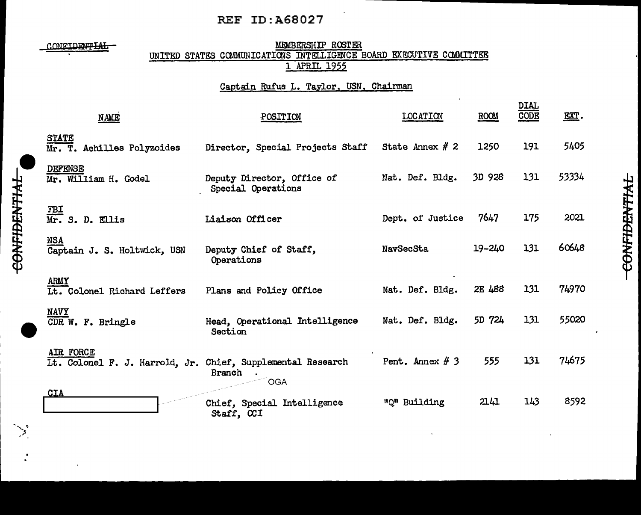## REF ID:A68027

.<br>.<br>.<br>. ,-'

#### CONFIDENTIAL MEMBERSHIP ROSTER UNITED STATES COMMUNICATIONS INTELLIGENCE BOARD EXECUTIVE COMMITTEE 1 APRIL 1955

#### Captain Rufus L. Taylor, USN, Chairman

| NAME                                                                     | POSITION                                         | <b>LOCATION</b>   | ROOM   | DIAL<br>CODE | EXT.  |
|--------------------------------------------------------------------------|--------------------------------------------------|-------------------|--------|--------------|-------|
| <b>STATE</b><br>Mr. T. Achilles Polyzoides                               | Director, Special Projects Staff                 | State Annex $# 2$ | 1250   | 191          | 5405  |
| <b>DEFENSE</b><br>Mr. William H. Godel                                   | Deputy Director, Office of<br>Special Operations | Nat. Def. Bldg.   | 3D 928 | 131          | 53334 |
| $\frac{\text{FBI}}{\text{Mr. S. D. Ellis}}$                              | Liaison Officer                                  | Dept. of Justice  | 7647   | 175          | 2021  |
| <b>NSA</b><br>Captain J. S. Holtwick, USN                                | Deputy Chief of Staff,<br>Operations             | NavSecSta         | 19-240 | 131          | 60648 |
| <b>ARMY</b><br>It. Colonel Richard Leffers                               | Plans and Policy Office                          | Nat. Def. Bldg.   | 2E 488 | 131          | 74970 |
| <b>NAVY</b><br>CDR W. F. Bringle                                         | Head, Operational Intelligence<br>Section        | Nat. Def. Bldg.   | 5D 724 | 131          | 55020 |
| AIR FORCE<br>It. Colonel F. J. Harrold, Jr. Chief, Supplemental Research | Branch<br>OGA                                    | Pent. Annex $# 3$ | 555    | 131          | 74675 |
| CIA                                                                      | Chief, Special Intelligence<br>Staff, CCI        | "Q" Building      | 2141   | 143          | 8592  |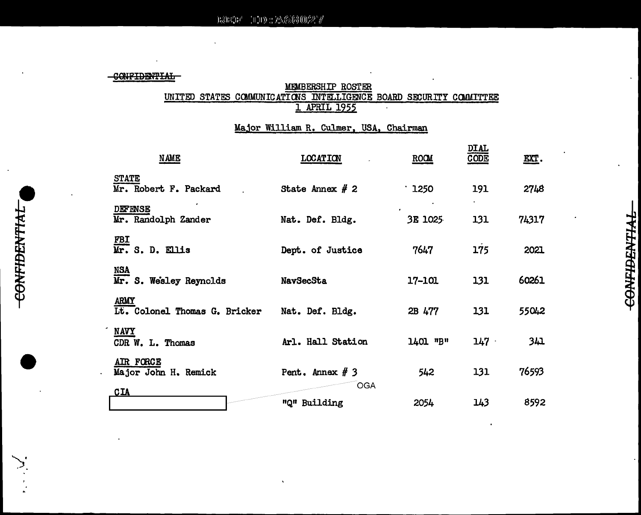CONFIDENTIAL

# MEMBERSHIP ROSTER UNITED STATES COMMUNICATIONS INTELLIGENCE BOARD SECURITY COMMITTEE

### Major William R. Culmer, USA, Chairman

| <b>NAME</b>                           | <b>LOCATION</b>            | ROOM         | <b>DTAT</b><br><u>CODE</u> | <u>EXT</u> . |
|---------------------------------------|----------------------------|--------------|----------------------------|--------------|
| <b>STATE</b><br>Mr. Robert F. Packard | State Annex $# 2$          | $\cdot$ 1250 | 191                        | 2748         |
| <b>DEFENSE</b><br>Mr. Randolph Zander | Nat. Def. Bldg.            | 3E 1025      | 131                        | 74317        |
| <u>FBI</u><br>Mr. S. D. Ellis         | Dept. of Justice           | 7647         | 175                        | 2021         |
| <b>NSA</b><br>Mr. S. Wesley Reynolds  | NavSecSta                  | 17-101       | 131                        | 60261        |
| ARMY<br>It. Colonel Thomas G. Bricker | Nat. Def. Bldg.            | 2B 477       | 131                        | 55042        |
| <b>NAVY</b><br>CDR W. L. Thomas       | Arl. Hall Station          | 1401 "B"     | $147 -$                    | 341          |
| AIR FORCE<br>Major John H. Remick     | Pent. Annex $# 3$          | 542          | 131                        | 76593        |
| <u>CIA</u>                            | <b>OGA</b><br>"Q" Building | 2054         | 143                        | 8592         |